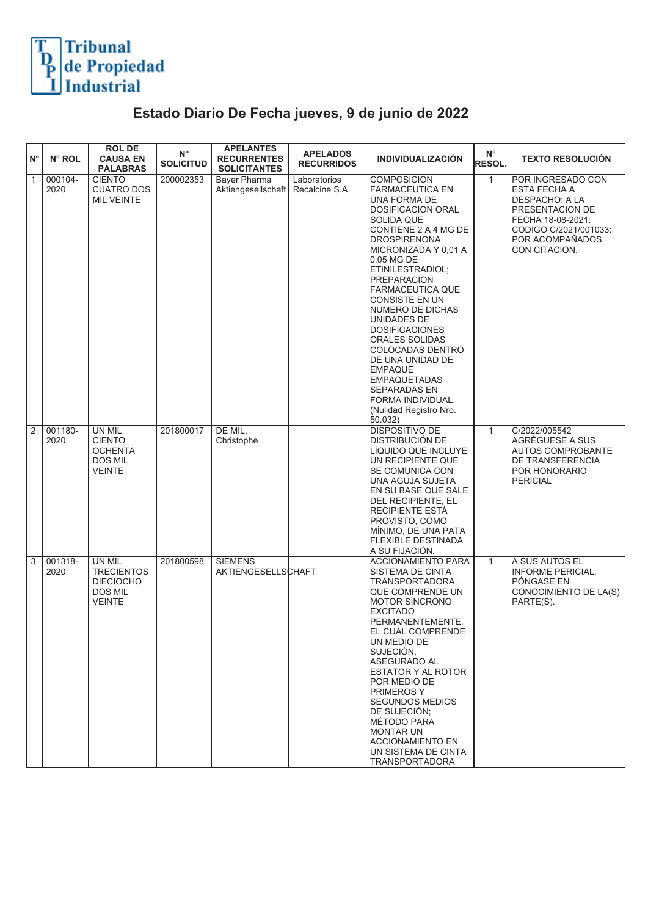

## **Estado Diario De Fecha jueves, 9 de junio de 2022**

| $N^{\circ}$  | N° ROL          | <b>ROL DE</b><br><b>CAUSA EN</b><br><b>PALABRAS</b>                                | $N^{\circ}$<br><b>SOLICITUD</b> | <b>APELANTES</b><br><b>RECURRENTES</b><br><b>SOLICITANTES</b> | <b>APELADOS</b><br><b>RECURRIDOS</b> | <b>INDIVIDUALIZACIÓN</b>                                                                                                                                                                                                                                                                                                                                                                                                                                                                                                           | $N^{\circ}$<br><b>RESOL</b> | <b>TEXTO RESOLUCIÓN</b>                                                                                                                                         |
|--------------|-----------------|------------------------------------------------------------------------------------|---------------------------------|---------------------------------------------------------------|--------------------------------------|------------------------------------------------------------------------------------------------------------------------------------------------------------------------------------------------------------------------------------------------------------------------------------------------------------------------------------------------------------------------------------------------------------------------------------------------------------------------------------------------------------------------------------|-----------------------------|-----------------------------------------------------------------------------------------------------------------------------------------------------------------|
| $\mathbf{1}$ | 000104-<br>2020 | <b>CIENTO</b><br><b>CUATRO DOS</b><br><b>MIL VEINTE</b>                            | 200002353                       | <b>Bayer Pharma</b><br>Aktiengesellschaft                     | Laboratorios<br>Recalcine S.A.       | <b>COMPOSICION</b><br><b>FARMACEUTICA EN</b><br>UNA FORMA DE<br><b>DOSIFICACION ORAL</b><br>SOLIDA QUE<br>CONTIENE 2 A 4 MG DE<br><b>DROSPIRENONA</b><br>MICRONIZADA Y 0.01 A<br>0,05 MG DE<br>ETINILESTRADIOL:<br><b>PREPARACION</b><br><b>FARMACEUTICA QUE</b><br>CONSISTE EN UN<br>NUMERO DE DICHAS<br>UNIDADES DE<br><b>DOSIFICACIONES</b><br>ORALES SOLIDAS<br>COLOCADAS DENTRO<br>DE UNA UNIDAD DE<br><b>EMPAQUE</b><br><b>EMPAQUETADAS</b><br><b>SEPARADAS EN</b><br>FORMA INDIVIDUAL.<br>(Nulidad Registro Nro.<br>50.032) | $\mathbf{1}$                | POR INGRESADO CON<br><b>ESTA FECHA A</b><br>DESPACHO: A LA<br>PRESENTACION DE<br>FECHA 18-08-2021:<br>CODIGO C/2021/001033:<br>POR ACOMPAÑADOS<br>CON CITACION. |
| 2            | 001180-<br>2020 | UN MIL<br><b>CIENTO</b><br><b>OCHENTA</b><br>DOS MIL<br><b>VEINTE</b>              | 201800017                       | DE MIL,<br>Christophe                                         |                                      | DISPOSITIVO DE<br>DISTRIBUCIÓN DE<br>LÍQUIDO QUE INCLUYE<br>UN RECIPIENTE QUE<br>SE COMUNICA CON<br>UNA AGUJA SUJETA<br>EN SU BASE QUE SALE<br>DEL RECIPIENTE, EL<br>RECIPIENTE ESTA<br>PROVISTO, COMO<br>MÍNIMO, DE UNA PATA<br><b>FLEXIBLE DESTINADA</b><br>A SU FIJACIÓN.                                                                                                                                                                                                                                                       | $\mathbf{1}$                | C/2022/005542<br>AGRÉGUESE A SUS<br><b>AUTOS COMPROBANTE</b><br>DE TRANSFERENCIA<br>POR HONORARIO<br><b>PERICIAL</b>                                            |
| 3            | 001318-<br>2020 | UN MIL<br><b>TRECIENTOS</b><br><b>DIECIOCHO</b><br><b>DOS MIL</b><br><b>VEINTE</b> | 201800598                       | <b>SIEMENS</b><br>AKTIENGESELLSCHAFT                          |                                      | <b>ACCIONAMIENTO PARA</b><br>SISTEMA DE CINTA<br>TRANSPORTADORA,<br>QUE COMPRENDE UN<br><b>MOTOR SÍNCRONO</b><br><b>EXCITADO</b><br>PERMANENTEMENTE,<br>EL CUAL COMPRENDE<br>UN MEDIO DE<br>SUJECIÓN,<br>ASEGURADO AL<br>ESTATOR Y AL ROTOR<br>POR MEDIO DE<br>PRIMEROS Y<br>SEGUNDOS MEDIOS<br>DE SUJECIÓN:<br>MÉTODO PARA<br><b>MONTAR UN</b><br><b>ACCIONAMIENTO EN</b><br>UN SISTEMA DE CINTA<br><b>TRANSPORTADORA</b>                                                                                                         | $\mathbf{1}$                | A SUS AUTOS EL<br><b>INFORME PERICIAL.</b><br>PÓNGASE EN<br>CONOCIMIENTO DE LA(S)<br>PARTE(S).                                                                  |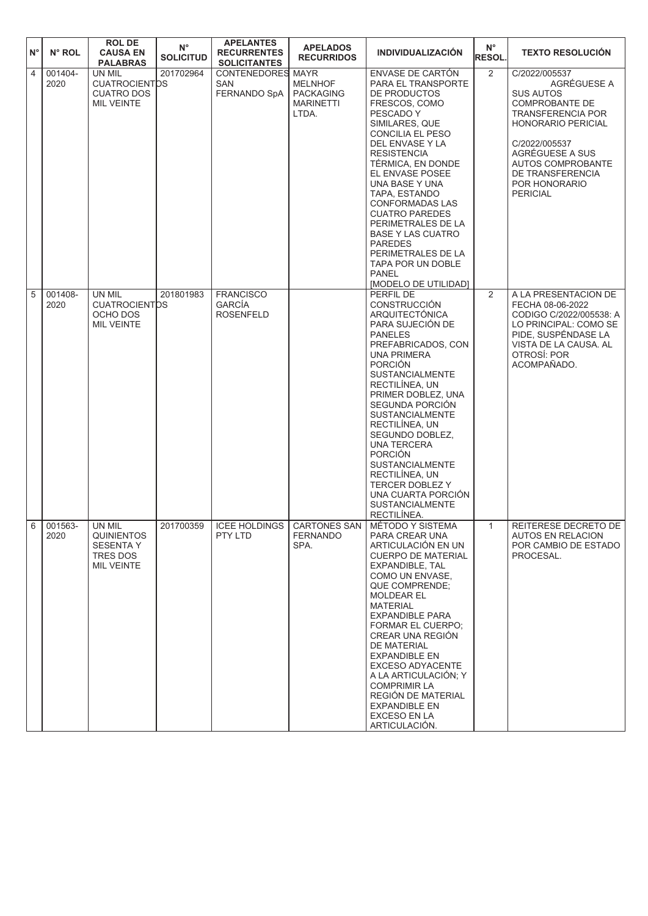| $N^{\circ}$    | N° ROL                 | <b>ROL DE</b><br><b>CAUSA EN</b><br><b>PALABRAS</b>                              | $\mathsf{N}^\circ$<br><b>SOLICITUD</b> | <b>APELANTES</b><br><b>RECURRENTES</b><br><b>SOLICITANTES</b> | <b>APELADOS</b><br><b>RECURRIDOS</b>                            | <b>INDIVIDUALIZACION</b>                                                                                                                                                                                                                                                                                                                                                                                                                                                      | $N^{\circ}$<br><b>RESOL.</b> | <b>TEXTO RESOLUCIÓN</b>                                                                                                                                                                                                                             |
|----------------|------------------------|----------------------------------------------------------------------------------|----------------------------------------|---------------------------------------------------------------|-----------------------------------------------------------------|-------------------------------------------------------------------------------------------------------------------------------------------------------------------------------------------------------------------------------------------------------------------------------------------------------------------------------------------------------------------------------------------------------------------------------------------------------------------------------|------------------------------|-----------------------------------------------------------------------------------------------------------------------------------------------------------------------------------------------------------------------------------------------------|
| $\overline{4}$ | 001404-<br>2020        | UN MIL<br><b>CUATROCIENTOS</b><br><b>CUATRO DOS</b><br><b>MIL VEINTE</b>         | 201702964                              | <b>CONTENEDORES MAYR</b><br><b>SAN</b><br><b>FERNANDO SpA</b> | <b>MELNHOF</b><br><b>PACKAGING</b><br><b>MARINETTI</b><br>LTDA. | ENVASE DE CARTÓN<br>PARA EL TRANSPORTE<br>DE PRODUCTOS<br>FRESCOS, COMO<br>PESCADO Y<br>SIMILARES, QUE<br>CONCILIA EL PESO<br>DEL ENVASE Y LA<br><b>RESISTENCIA</b><br>TÉRMICA, EN DONDE<br>EL ENVASE POSEE<br>UNA BASE Y UNA<br>TAPA. ESTANDO<br><b>CONFORMADAS LAS</b><br><b>CUATRO PAREDES</b><br>PERIMETRALES DE LA<br>BASE Y LAS CUATRO<br><b>PAREDES</b><br>PERIMETRALES DE LA<br>TAPA POR UN DOBLE<br><b>PANEL</b><br>[MODELO DE UTILIDAD]                             | $\overline{2}$               | C/2022/005537<br>AGRÉGUESE A<br><b>SUS AUTOS</b><br><b>COMPROBANTE DE</b><br><b>TRANSFERENCIA POR</b><br><b>HONORARIO PERICIAL</b><br>C/2022/005537<br>AGRÉGUESE A SUS<br>AUTOS COMPROBANTE<br>DE TRANSFERENCIA<br>POR HONORARIO<br><b>PERICIAL</b> |
| 5              | 001408-<br>2020        | UN MIL<br><b>CUATROCIENTOS</b><br>OCHO DOS<br><b>MIL VEINTE</b>                  | 201801983                              | <b>FRANCISCO</b><br><b>GARCÍA</b><br><b>ROSENFELD</b>         |                                                                 | PERFIL DE<br><b>CONSTRUCCIÓN</b><br>ARQUITECTÓNICA<br>PARA SUJECIÓN DE<br><b>PANELES</b><br>PREFABRICADOS, CON<br><b>UNA PRIMERA</b><br><b>PORCIÓN</b><br><b>SUSTANCIALMENTE</b><br>RECTILÍNEA, UN<br>PRIMER DOBLEZ, UNA<br>SEGUNDA PORCIÓN<br><b>SUSTANCIALMENTE</b><br>RECTILINEA, UN<br>SEGUNDO DOBLEZ,<br>UNA TERCERA<br><b>PORCIÓN</b><br><b>SUSTANCIALMENTE</b><br>RECTILÍNEA, UN<br>TERCER DOBLEZ Y<br>UNA CUARTA PORCIÓN<br><b>SUSTANCIALMENTE</b><br>RECTILÍNEA.     | $\overline{2}$               | A LA PRESENTACION DE<br>FECHA 08-06-2022<br>CODIGO C/2022/005538: A<br>LO PRINCIPAL: COMO SE<br>PIDE, SUSPÉNDASE LA<br>VISTA DE LA CAUSA. AL<br>OTROSÍ: POR<br>ACOMPAÑADO.                                                                          |
|                | $6 \ 001563 -$<br>2020 | UN MIL<br><b>QUINIENTOS</b><br><b>SESENTA Y</b><br>TRES DOS<br><b>MIL VEINTE</b> | 201700359                              | ICEE HOLDINGS   CARTONES SAN<br>PTY LTD                       | <b>FERNANDO</b><br>SPA.                                         | <b>MÉTODO Y SISTEMA</b><br>PARA CREAR UNA<br>ARTICULACIÓN EN UN<br><b>CUERPO DE MATERIAL</b><br>EXPANDIBLE, TAL<br>COMO UN ENVASE.<br><b>QUE COMPRENDE:</b><br><b>MOLDEAR EL</b><br><b>MATERIAL</b><br><b>EXPANDIBLE PARA</b><br><b>FORMAR EL CUERPO:</b><br>CREAR UNA REGIÓN<br><b>DE MATERIAL</b><br><b>EXPANDIBLE EN</b><br>EXCESO ADYACENTE<br>A LA ARTICULACIÓN; Y<br><b>COMPRIMIR LA</b><br>REGIÓN DE MATERIAL<br><b>EXPANDIBLE EN</b><br>EXCESO EN LA<br>ARTICULACIÓN. |                              | REITERESE DECRETO DE<br><b>AUTOS EN RELACION</b><br>POR CAMBIO DE ESTADO<br>PROCESAL.                                                                                                                                                               |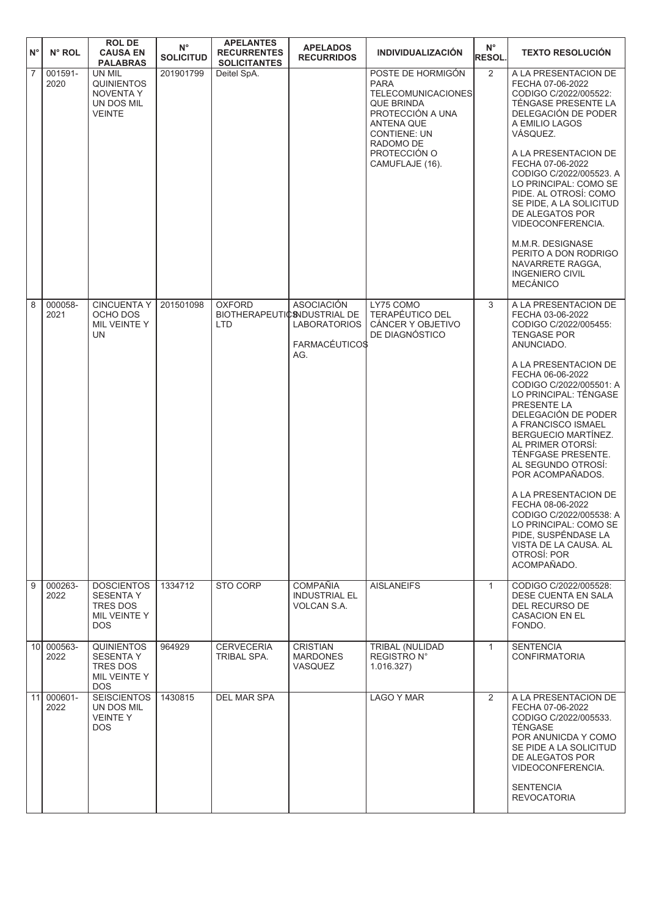| $N^{\circ}$     | N° ROL          | <b>ROL DE</b><br><b>CAUSA EN</b><br><b>PALABRAS</b>                             | $\mathsf{N}^\circ$<br><b>SOLICITUD</b> | <b>APELANTES</b><br><b>RECURRENTES</b><br><b>SOLICITANTES</b> | <b>APELADOS</b><br><b>RECURRIDOS</b>                                     | <b>INDIVIDUALIZACIÓN</b>                                                                                                                                                                           | $N^{\circ}$<br><b>RESOL.</b> | <b>TEXTO RESOLUCIÓN</b>                                                                                                                                                                                                                                                                                                                                                                                                                                                                                                                                     |
|-----------------|-----------------|---------------------------------------------------------------------------------|----------------------------------------|---------------------------------------------------------------|--------------------------------------------------------------------------|----------------------------------------------------------------------------------------------------------------------------------------------------------------------------------------------------|------------------------------|-------------------------------------------------------------------------------------------------------------------------------------------------------------------------------------------------------------------------------------------------------------------------------------------------------------------------------------------------------------------------------------------------------------------------------------------------------------------------------------------------------------------------------------------------------------|
| $\overline{7}$  | 001591-<br>2020 | UN MIL<br><b>QUINIENTOS</b><br><b>NOVENTA Y</b><br>UN DOS MIL<br><b>VEINTE</b>  | 201901799                              | Deitel SpA.                                                   |                                                                          | POSTE DE HORMIGÓN<br><b>PARA</b><br><b>TELECOMUNICACIONES</b><br><b>QUE BRINDA</b><br>PROTECCIÓN A UNA<br><b>ANTENA QUE</b><br><b>CONTIENE: UN</b><br>RADOMO DE<br>PROTECCIÓN O<br>CAMUFLAJE (16). | 2                            | A LA PRESENTACION DE<br>FECHA 07-06-2022<br>CODIGO C/2022/005522:<br>TÉNGASE PRESENTE LA<br>DELEGACIÓN DE PODER<br>A EMILIO LAGOS<br>VÁSQUEZ.<br>A LA PRESENTACION DE<br>FECHA 07-06-2022<br>CODIGO C/2022/005523. A<br>LO PRINCIPAL: COMO SE<br>PIDE. AL OTROSÍ: COMO<br>SE PIDE, A LA SOLICITUD<br>DE ALEGATOS POR<br>VIDEOCONFERENCIA.<br>M.M.R. DESIGNASE<br>PERITO A DON RODRIGO<br>NAVARRETE RAGGA.<br><b>INGENIERO CIVIL</b><br><b>MECÁNICO</b>                                                                                                      |
| 8               | 000058-<br>2021 | <b>CINCUENTA Y</b><br>OCHO DOS<br>MIL VEINTE Y<br>UN                            | 201501098                              | <b>OXFORD</b><br>BIOTHERAPEUTIC SNDUSTRIAL DE<br><b>LTD</b>   | <b>ASOCIACIÓN</b><br><b>LABORATORIOS</b><br><b>FARMACÉUTICO\$</b><br>AG. | LY75 COMO<br><b>TERAPÉUTICO DEL</b><br>CÁNCER Y OBJETIVO<br>DE DIAGNÓSTICO                                                                                                                         | 3                            | A LA PRESENTACION DE<br>FECHA 03-06-2022<br>CODIGO C/2022/005455:<br><b>TENGASE POR</b><br>ANUNCIADO.<br>A LA PRESENTACION DE<br>FECHA 06-06-2022<br>CODIGO C/2022/005501: A<br>LO PRINCIPAL: TÉNGASE<br>PRESENTE LA<br>DELEGACIÓN DE PODER<br>A FRANCISCO ISMAEL<br>BERGUECIO MARTÍNEZ.<br>AL PRIMER OTORSÍ:<br>TÉNFGASE PRESENTE.<br>AL SEGUNDO OTROSI:<br>POR ACOMPAÑADOS.<br>A LA PRESENTACION DE<br>FECHA 08-06-2022<br>CODIGO C/2022/005538: A<br>LO PRINCIPAL: COMO SE<br>PIDE, SUSPÉNDASE LA<br>VISTA DE LA CAUSA. AL<br>OTROSÍ: POR<br>ACOMPAÑADO. |
| 9               | 000263-<br>2022 | <b>DOSCIENTOS</b><br><b>SESENTA Y</b><br>TRES DOS<br>MIL VEINTE Y<br>DOS.       | 1334712                                | STO CORP                                                      | <b>COMPAÑIA</b><br>INDUSTRIAL EL<br>VOLCAN S.A.                          | <b>AISLANEIFS</b>                                                                                                                                                                                  | $\mathbf{1}$                 | CODIGO C/2022/005528:<br>DESE CUENTA EN SALA<br>DEL RECURSO DE<br><b>CASACION EN EL</b><br>FONDO.                                                                                                                                                                                                                                                                                                                                                                                                                                                           |
| 10 <sup>1</sup> | 000563-<br>2022 | <b>QUINIENTOS</b><br><b>SESENTA Y</b><br>TRES DOS<br>MIL VEINTE Y<br><b>DOS</b> | 964929                                 | <b>CERVECERIA</b><br>TRIBAL SPA.                              | <b>CRISTIAN</b><br><b>MARDONES</b><br><b>VASQUEZ</b>                     | <b>TRIBAL (NULIDAD)</b><br>REGISTRO N°<br>1.016.327                                                                                                                                                | $\mathbf{1}$                 | <b>SENTENCIA</b><br>CONFIRMATORIA                                                                                                                                                                                                                                                                                                                                                                                                                                                                                                                           |
| 11              | 000601-<br>2022 | <b>SEISCIENTOS</b><br>UN DOS MIL<br><b>VEINTEY</b><br><b>DOS</b>                | 1430815                                | <b>DEL MAR SPA</b>                                            |                                                                          | <b>LAGO Y MAR</b>                                                                                                                                                                                  | 2                            | A LA PRESENTACION DE<br>FECHA 07-06-2022<br>CODIGO C/2022/005533.<br><b>TÉNGASE</b><br>POR ANUNICDA Y COMO<br>SE PIDE A LA SOLICITUD<br>DE ALEGATOS POR<br>VIDEOCONFERENCIA.<br><b>SENTENCIA</b><br><b>REVOCATORIA</b>                                                                                                                                                                                                                                                                                                                                      |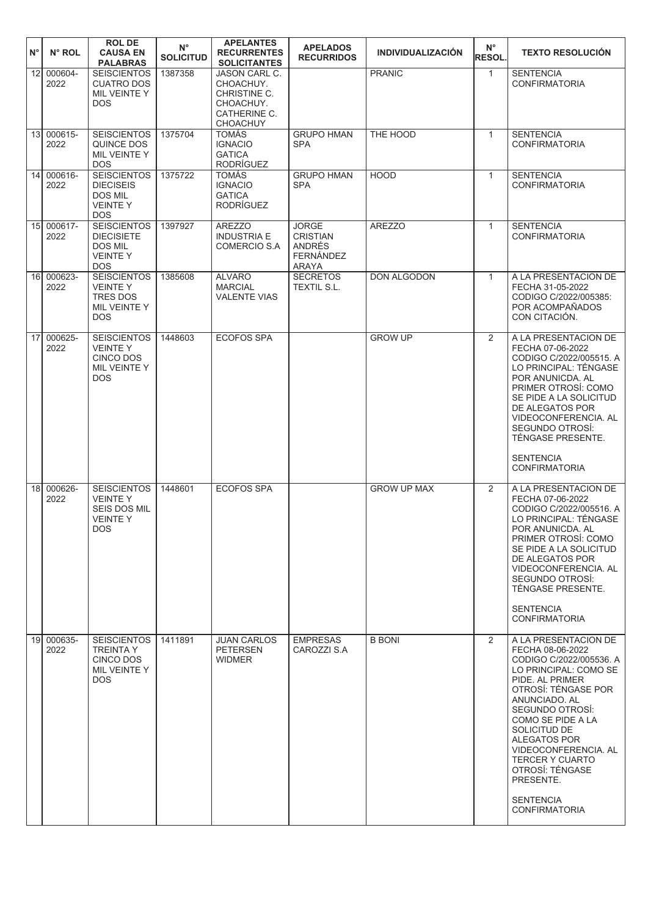| $N^{\circ}$     | $N^{\circ}$ ROL    | <b>ROLDE</b><br><b>CAUSA EN</b><br><b>PALABRAS</b>                                          | $N^{\circ}$<br><b>SOLICITUD</b> | <b>APELANTES</b><br><b>RECURRENTES</b><br><b>SOLICITANTES</b>                                     | <b>APELADOS</b><br><b>RECURRIDOS</b>                                   | <b>INDIVIDUALIZACIÓN</b> | $N^{\circ}$<br>RESOL. | <b>TEXTO RESOLUCIÓN</b>                                                                                                                                                                                                                                                                                                                                       |
|-----------------|--------------------|---------------------------------------------------------------------------------------------|---------------------------------|---------------------------------------------------------------------------------------------------|------------------------------------------------------------------------|--------------------------|-----------------------|---------------------------------------------------------------------------------------------------------------------------------------------------------------------------------------------------------------------------------------------------------------------------------------------------------------------------------------------------------------|
| 12 <sup>1</sup> | 000604-<br>2022    | <b>SEISCIENTOS</b><br><b>CUATRO DOS</b><br>MIL VEINTE Y<br><b>DOS</b>                       | 1387358                         | <b>JASON CARL C.</b><br>CHOACHUY.<br>CHRISTINE C.<br>CHOACHUY.<br>CATHERINE C.<br><b>CHOACHUY</b> |                                                                        | <b>PRANIC</b>            | $\mathbf{1}$          | <b>SENTENCIA</b><br><b>CONFIRMATORIA</b>                                                                                                                                                                                                                                                                                                                      |
|                 | 13 000615-<br>2022 | <b>SEISCIENTOS</b><br>QUINCE DOS<br>MIL VEINTE Y<br><b>DOS</b>                              | 1375704                         | <b>TOMÁS</b><br><b>IGNACIO</b><br><b>GATICA</b><br><b>RODRÍGUEZ</b>                               | <b>GRUPO HMAN</b><br><b>SPA</b>                                        | THE HOOD                 | $\mathbf{1}$          | <b>SENTENCIA</b><br><b>CONFIRMATORIA</b>                                                                                                                                                                                                                                                                                                                      |
|                 | 14 000616-<br>2022 | <b>SEISCIENTOS</b><br><b>DIECISEIS</b><br>DOS MIL<br><b>VEINTEY</b><br><b>DOS</b>           | 1375722                         | <b>TOMÁS</b><br><b>IGNACIO</b><br><b>GATICA</b><br>RODRÍGUEZ                                      | <b>GRUPO HMAN</b><br><b>SPA</b>                                        | <b>HOOD</b>              | $\mathbf{1}$          | <b>SENTENCIA</b><br><b>CONFIRMATORIA</b>                                                                                                                                                                                                                                                                                                                      |
|                 | 15 000617-<br>2022 | <b>SEISCIENTOS</b><br><b>DIECISIETE</b><br><b>DOS MIL</b><br><b>VEINTEY</b><br><b>DOS</b>   | 1397927                         | <b>AREZZO</b><br><b>INDUSTRIA E</b><br>COMERCIO S.A                                               | <b>JORGE</b><br><b>CRISTIAN</b><br>ANDRÉS<br><b>FERNÁNDEZ</b><br>ARAYA | <b>AREZZO</b>            | $\mathbf{1}$          | <b>SENTENCIA</b><br><b>CONFIRMATORIA</b>                                                                                                                                                                                                                                                                                                                      |
|                 | 16 000623-<br>2022 | <b>SEISCIENTOS</b><br><b>VEINTEY</b><br><b>TRES DOS</b><br>MIL VEINTE Y<br><b>DOS</b>       | 1385608                         | <b>ALVARO</b><br><b>MARCIAL</b><br><b>VALENTE VIAS</b>                                            | <b>SECRETOS</b><br><b>TEXTIL S.L.</b>                                  | DON ALGODON              | $\mathbf{1}$          | A LA PRESENTACION DE<br>FECHA 31-05-2022<br>CODIGO C/2022/005385:<br>POR ACOMPAÑADOS<br>CON CITACIÓN.                                                                                                                                                                                                                                                         |
|                 | 17 000625-<br>2022 | <b>SEISCIENTOS</b><br><b>VEINTEY</b><br><b>CINCO DOS</b><br>MIL VEINTE Y<br><b>DOS</b>      | 1448603                         | <b>ECOFOS SPA</b>                                                                                 |                                                                        | <b>GROW UP</b>           | $\overline{2}$        | A LA PRESENTACION DE<br>FECHA 07-06-2022<br>CODIGO C/2022/005515. A<br>LO PRINCIPAL: TÉNGASE<br>POR ANUNICDA. AL<br>PRIMER OTROSI: COMO<br>SE PIDE A LA SOLICITUD<br>DE ALEGATOS POR<br>VIDEOCONFERENCIA. AL<br>SEGUNDO OTROSI:<br>TÉNGASE PRESENTE.<br><b>SENTENCIA</b><br><b>CONFIRMATORIA</b>                                                              |
| 18 <sup>1</sup> | 000626-<br>2022    | <b>SEISCIENTOS</b><br><b>VEINTEY</b><br><b>SEIS DOS MIL</b><br><b>VEINTEY</b><br><b>DOS</b> | 1448601                         | <b>ECOFOS SPA</b>                                                                                 |                                                                        | <b>GROW UP MAX</b>       | 2                     | A LA PRESENTACION DE<br>FECHA 07-06-2022<br>CODIGO C/2022/005516. A<br>LO PRINCIPAL: TÉNGASE<br>POR ANUNICDA. AL<br>PRIMER OTROSÍ: COMO<br>SE PIDE A LA SOLICITUD<br>DE ALEGATOS POR<br>VIDEOCONFERENCIA, AL<br>SEGUNDO OTROSÍ:<br>TÉNGASE PRESENTE.<br><b>SENTENCIA</b><br><b>CONFIRMATORIA</b>                                                              |
|                 | 19 000635-<br>2022 | <b>SEISCIENTOS</b><br><b>TREINTA Y</b><br><b>CINCO DOS</b><br>MIL VEINTE Y<br><b>DOS</b>    | 1411891                         | <b>JUAN CARLOS</b><br><b>PETERSEN</b><br><b>WIDMER</b>                                            | <b>EMPRESAS</b><br>CAROZZI S.A                                         | <b>B BONI</b>            | 2                     | A LA PRESENTACION DE<br>FECHA 08-06-2022<br>CODIGO C/2022/005536. A<br>LO PRINCIPAL: COMO SE<br>PIDE. AL PRIMER<br>OTROSÍ: TÉNGASE POR<br>ANUNCIADO, AL<br>SEGUNDO OTROSI:<br>COMO SE PIDE A LA<br>SOLICITUD DE<br>ALEGATOS POR<br>VIDEOCONFERENCIA. AL<br><b>TERCER Y CUARTO</b><br>OTROSÍ: TÉNGASE<br>PRESENTE.<br><b>SENTENCIA</b><br><b>CONFIRMATORIA</b> |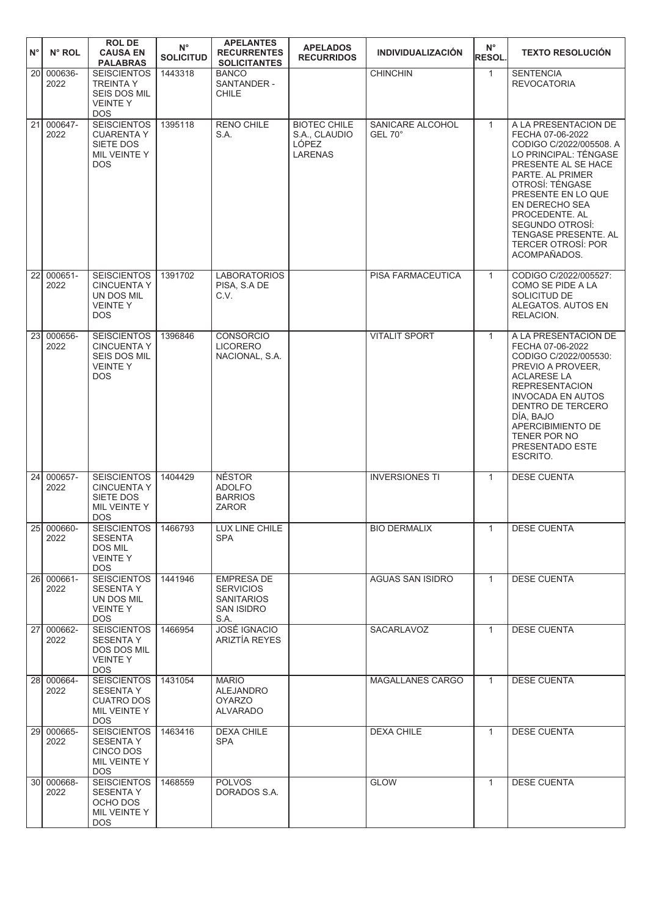| $N^{\circ}$ | N° ROL                      | <b>ROL DE</b><br><b>CAUSA EN</b><br><b>PALABRAS</b>                                             | $N^{\circ}$<br><b>SOLICITUD</b> | <b>APELANTES</b><br><b>RECURRENTES</b><br><b>SOLICITANTES</b>                    | <b>APELADOS</b><br><b>RECURRIDOS</b>                            | <b>INDIVIDUALIZACIÓN</b>    | $N^{\circ}$<br><b>RESOL.</b> | <b>TEXTO RESOLUCIÓN</b>                                                                                                                                                                                                                                                                                      |
|-------------|-----------------------------|-------------------------------------------------------------------------------------------------|---------------------------------|----------------------------------------------------------------------------------|-----------------------------------------------------------------|-----------------------------|------------------------------|--------------------------------------------------------------------------------------------------------------------------------------------------------------------------------------------------------------------------------------------------------------------------------------------------------------|
| 20          | 000636-<br>2022             | <b>SEISCIENTOS</b><br><b>TREINTA Y</b><br>SEIS DOS MIL<br><b>VEINTEY</b><br><b>DOS</b>          | 1443318                         | <b>BANCO</b><br>SANTANDER -<br><b>CHILE</b>                                      |                                                                 | <b>CHINCHIN</b>             | $\mathbf{1}$                 | <b>SENTENCIA</b><br><b>REVOCATORIA</b>                                                                                                                                                                                                                                                                       |
|             | 21 000647-<br>2022          | <b>SEISCIENTOS</b><br><b>CUARENTA Y</b><br>SIETE DOS<br>MIL VEINTE Y<br><b>DOS</b>              | 1395118                         | <b>RENO CHILE</b><br>S.A.                                                        | <b>BIOTEC CHILE</b><br>S.A., CLAUDIO<br>LÓPEZ<br><b>LARENAS</b> | SANICARE ALCOHOL<br>GEL 70° | $\mathbf{1}$                 | A LA PRESENTACION DE<br>FECHA 07-06-2022<br>CODIGO C/2022/005508. A<br>LO PRINCIPAL: TÉNGASE<br>PRESENTE AL SE HACE<br>PARTE. AL PRIMER<br>OTROSÍ: TÉNGASE<br>PRESENTE EN LO QUE<br>EN DERECHO SEA<br>PROCEDENTE. AL<br>SEGUNDO OTROSÍ:<br>TENGASE PRESENTE. AL<br><b>TERCER OTROSI: POR</b><br>ACOMPAÑADOS. |
| 22I         | 000651-<br>2022             | <b>SEISCIENTOS</b><br><b>CINCUENTA Y</b><br>UN DOS MIL<br><b>VEINTEY</b><br><b>DOS</b>          | 1391702                         | <b>LABORATORIOS</b><br>PISA, S.A DE<br>C.V.                                      |                                                                 | PISA FARMACEUTICA           | $\mathbf{1}$                 | CODIGO C/2022/005527:<br>COMO SE PIDE A LA<br>SOLICITUD DE<br>ALEGATOS. AUTOS EN<br>RELACION.                                                                                                                                                                                                                |
| 23          | 000656-<br>2022             | <b>SEISCIENTOS</b><br><b>CINCUENTA Y</b><br><b>SEIS DOS MIL</b><br><b>VEINTEY</b><br><b>DOS</b> | 1396846                         | <b>CONSORCIO</b><br><b>LICORERO</b><br>NACIONAL, S.A.                            |                                                                 | <b>VITALIT SPORT</b>        | $\mathbf{1}$                 | A LA PRESENTACION DE<br>FECHA 07-06-2022<br>CODIGO C/2022/005530:<br>PREVIO A PROVEER,<br><b>ACLARESE LA</b><br><b>REPRESENTACION</b><br><b>INVOCADA EN AUTOS</b><br>DENTRO DE TERCERO<br>DÍA, BAJO<br>APERCIBIMIENTO DE<br>TENER POR NO<br>PRESENTADO ESTE<br>ESCRITO.                                      |
| 24          | 000657-<br>2022             | <b>SEISCIENTOS</b><br><b>CINCUENTA Y</b><br>SIETE DOS<br>MIL VEINTE Y<br><b>DOS</b>             | 1404429                         | <b>NÉSTOR</b><br><b>ADOLFO</b><br><b>BARRIOS</b><br>ZAROR                        |                                                                 | <b>INVERSIONES TI</b>       | $\mathbf{1}$                 | <b>DESE CUENTA</b>                                                                                                                                                                                                                                                                                           |
|             | 25 000660-<br>2022          | <b>SEISCIENTOS</b><br><b>SESENTA</b><br>DOS MIL<br><b>VEINTEY</b><br>DOS.                       | 1466793                         | LUX LINE CHILE<br><b>SPA</b>                                                     |                                                                 | <b>BIO DERMALIX</b>         | $\mathbf{1}$                 | <b>DESE CUENTA</b>                                                                                                                                                                                                                                                                                           |
|             | 26 000661-<br>2022          | <b>SEISCIENTOS</b><br><b>SESENTA Y</b><br>UN DOS MIL<br><b>VEINTEY</b><br>DOS.                  | 1441946                         | <b>EMPRESA DE</b><br><b>SERVICIOS</b><br><b>SANITARIOS</b><br>SAN ISIDRO<br>S.A. |                                                                 | AGUAS SAN ISIDRO            | $\mathbf{1}$                 | <b>DESE CUENTA</b>                                                                                                                                                                                                                                                                                           |
|             | 27 000662-<br>2022          | <b>SEISCIENTOS</b><br><b>SESENTA Y</b><br><b>DOS DOS MIL</b><br><b>VEINTEY</b><br>DOS.          | 1466954                         | <b>JOSÉ IGNACIO</b><br>ARIZTÍA REYES                                             |                                                                 | SACARLAVOZ                  | $\mathbf{1}$                 | <b>DESE CUENTA</b>                                                                                                                                                                                                                                                                                           |
|             | 28 000664-<br>2022          | <b>SEISCIENTOS</b><br><b>SESENTA Y</b><br><b>CUATRO DOS</b><br>MIL VEINTE Y<br>DOS.             | 1431054                         | <b>MARIO</b><br><b>ALEJANDRO</b><br><b>OYARZO</b><br><b>ALVARADO</b>             |                                                                 | MAGALLANES CARGO            | $\mathbf{1}$                 | <b>DESE CUENTA</b>                                                                                                                                                                                                                                                                                           |
|             | $\sqrt{29}$ 000665-<br>2022 | <b>SEISCIENTOS</b><br>SESENTA Y<br>CINCO DOS<br>MIL VEINTE Y<br>DOS.                            | 1463416                         | DEXA CHILE<br>SPA                                                                |                                                                 | <b>DEXA CHILE</b>           | $\mathbf{1}$                 | <b>DESE CUENTA</b>                                                                                                                                                                                                                                                                                           |
|             | 30 000668-<br>2022          | <b>SEISCIENTOS</b><br><b>SESENTA Y</b><br>OCHO DOS<br>MIL VEINTE Y<br>DOS.                      | 1468559                         | <b>POLVOS</b><br>DORADOS S.A.                                                    |                                                                 | <b>GLOW</b>                 | $\mathbf{1}$                 | <b>DESE CUENTA</b>                                                                                                                                                                                                                                                                                           |